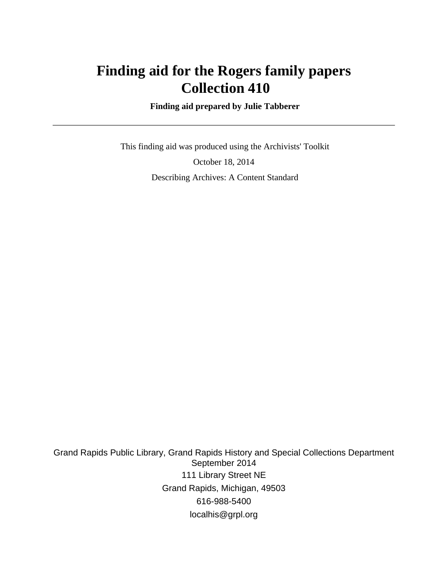# **Finding aid for the Rogers family papers Collection 410**

 **Finding aid prepared by Julie Tabberer**

 This finding aid was produced using the Archivists' Toolkit October 18, 2014 Describing Archives: A Content Standard

Grand Rapids Public Library, Grand Rapids History and Special Collections Department September 2014 111 Library Street NE Grand Rapids, Michigan, 49503 616-988-5400 localhis@grpl.org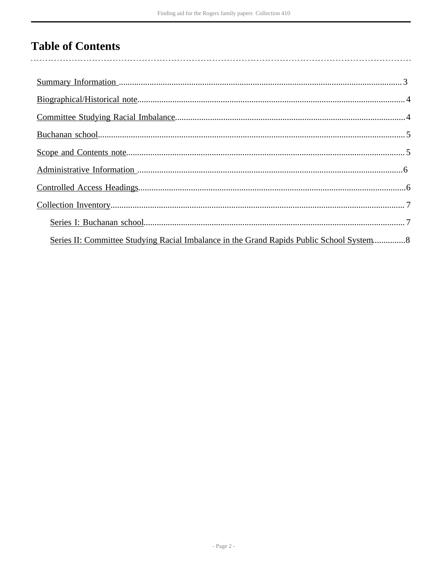# **Table of Contents**

| Series II: Committee Studying Racial Imbalance in the Grand Rapids Public School System 8 |  |
|-------------------------------------------------------------------------------------------|--|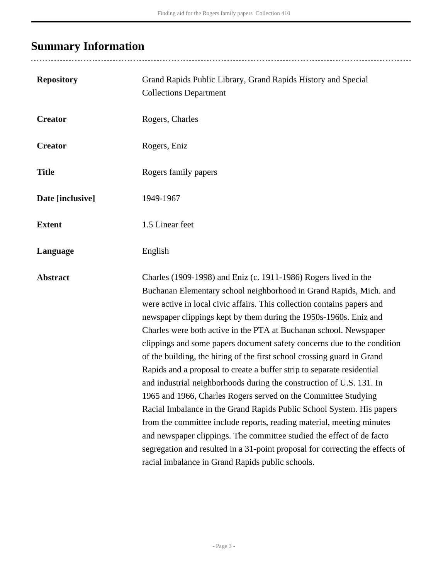# <span id="page-2-0"></span>**Summary Information**

| <b>Repository</b> | Grand Rapids Public Library, Grand Rapids History and Special<br><b>Collections Department</b>                                                                                                                                                                                                                                                                                                                                                                                                                                                                                                                                                                                                                                                                                                                                                                                                                                                                                                                                                                                                       |
|-------------------|------------------------------------------------------------------------------------------------------------------------------------------------------------------------------------------------------------------------------------------------------------------------------------------------------------------------------------------------------------------------------------------------------------------------------------------------------------------------------------------------------------------------------------------------------------------------------------------------------------------------------------------------------------------------------------------------------------------------------------------------------------------------------------------------------------------------------------------------------------------------------------------------------------------------------------------------------------------------------------------------------------------------------------------------------------------------------------------------------|
| <b>Creator</b>    | Rogers, Charles                                                                                                                                                                                                                                                                                                                                                                                                                                                                                                                                                                                                                                                                                                                                                                                                                                                                                                                                                                                                                                                                                      |
| <b>Creator</b>    | Rogers, Eniz                                                                                                                                                                                                                                                                                                                                                                                                                                                                                                                                                                                                                                                                                                                                                                                                                                                                                                                                                                                                                                                                                         |
| <b>Title</b>      | Rogers family papers                                                                                                                                                                                                                                                                                                                                                                                                                                                                                                                                                                                                                                                                                                                                                                                                                                                                                                                                                                                                                                                                                 |
| Date [inclusive]  | 1949-1967                                                                                                                                                                                                                                                                                                                                                                                                                                                                                                                                                                                                                                                                                                                                                                                                                                                                                                                                                                                                                                                                                            |
| <b>Extent</b>     | 1.5 Linear feet                                                                                                                                                                                                                                                                                                                                                                                                                                                                                                                                                                                                                                                                                                                                                                                                                                                                                                                                                                                                                                                                                      |
| Language          | English                                                                                                                                                                                                                                                                                                                                                                                                                                                                                                                                                                                                                                                                                                                                                                                                                                                                                                                                                                                                                                                                                              |
| <b>Abstract</b>   | Charles (1909-1998) and Eniz (c. 1911-1986) Rogers lived in the<br>Buchanan Elementary school neighborhood in Grand Rapids, Mich. and<br>were active in local civic affairs. This collection contains papers and<br>newspaper clippings kept by them during the 1950s-1960s. Eniz and<br>Charles were both active in the PTA at Buchanan school. Newspaper<br>clippings and some papers document safety concerns due to the condition<br>of the building, the hiring of the first school crossing guard in Grand<br>Rapids and a proposal to create a buffer strip to separate residential<br>and industrial neighborhoods during the construction of U.S. 131. In<br>1965 and 1966, Charles Rogers served on the Committee Studying<br>Racial Imbalance in the Grand Rapids Public School System. His papers<br>from the committee include reports, reading material, meeting minutes<br>and newspaper clippings. The committee studied the effect of de facto<br>segregation and resulted in a 31-point proposal for correcting the effects of<br>racial imbalance in Grand Rapids public schools. |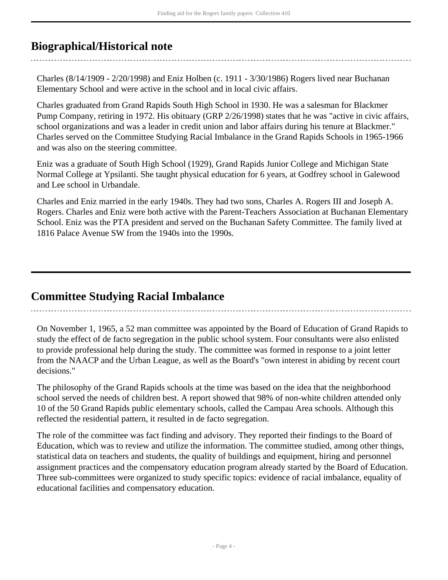## <span id="page-3-0"></span>**Biographical/Historical note**

Charles (8/14/1909 - 2/20/1998) and Eniz Holben (c. 1911 - 3/30/1986) Rogers lived near Buchanan Elementary School and were active in the school and in local civic affairs.

Charles graduated from Grand Rapids South High School in 1930. He was a salesman for Blackmer Pump Company, retiring in 1972. His obituary (GRP 2/26/1998) states that he was "active in civic affairs, school organizations and was a leader in credit union and labor affairs during his tenure at Blackmer." Charles served on the Committee Studying Racial Imbalance in the Grand Rapids Schools in 1965-1966 and was also on the steering committee.

Eniz was a graduate of South High School (1929), Grand Rapids Junior College and Michigan State Normal College at Ypsilanti. She taught physical education for 6 years, at Godfrey school in Galewood and Lee school in Urbandale.

Charles and Eniz married in the early 1940s. They had two sons, Charles A. Rogers III and Joseph A. Rogers. Charles and Eniz were both active with the Parent-Teachers Association at Buchanan Elementary School. Eniz was the PTA president and served on the Buchanan Safety Committee. The family lived at 1816 Palace Avenue SW from the 1940s into the 1990s.

## <span id="page-3-1"></span>**Committee Studying Racial Imbalance**

On November 1, 1965, a 52 man committee was appointed by the Board of Education of Grand Rapids to study the effect of de facto segregation in the public school system. Four consultants were also enlisted to provide professional help during the study. The committee was formed in response to a joint letter from the NAACP and the Urban League, as well as the Board's "own interest in abiding by recent court decisions."

The philosophy of the Grand Rapids schools at the time was based on the idea that the neighborhood school served the needs of children best. A report showed that 98% of non-white children attended only 10 of the 50 Grand Rapids public elementary schools, called the Campau Area schools. Although this reflected the residential pattern, it resulted in de facto segregation.

The role of the committee was fact finding and advisory. They reported their findings to the Board of Education, which was to review and utilize the information. The committee studied, among other things, statistical data on teachers and students, the quality of buildings and equipment, hiring and personnel assignment practices and the compensatory education program already started by the Board of Education. Three sub-committees were organized to study specific topics: evidence of racial imbalance, equality of educational facilities and compensatory education.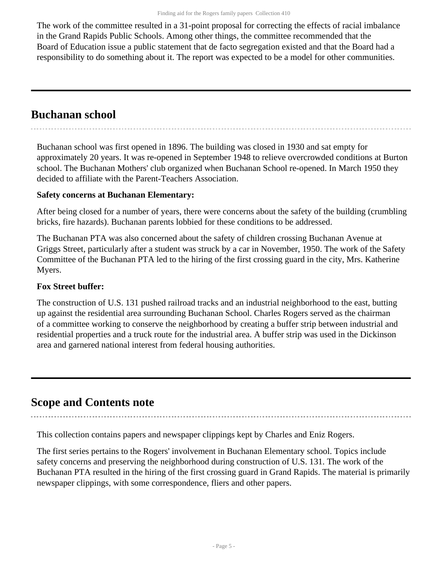The work of the committee resulted in a 31-point proposal for correcting the effects of racial imbalance in the Grand Rapids Public Schools. Among other things, the committee recommended that the Board of Education issue a public statement that de facto segregation existed and that the Board had a responsibility to do something about it. The report was expected to be a model for other communities.

### <span id="page-4-0"></span>**Buchanan school**

Buchanan school was first opened in 1896. The building was closed in 1930 and sat empty for approximately 20 years. It was re-opened in September 1948 to relieve overcrowded conditions at Burton school. The Buchanan Mothers' club organized when Buchanan School re-opened. In March 1950 they decided to affiliate with the Parent-Teachers Association.

#### **Safety concerns at Buchanan Elementary:**

After being closed for a number of years, there were concerns about the safety of the building (crumbling bricks, fire hazards). Buchanan parents lobbied for these conditions to be addressed.

The Buchanan PTA was also concerned about the safety of children crossing Buchanan Avenue at Griggs Street, particularly after a student was struck by a car in November, 1950. The work of the Safety Committee of the Buchanan PTA led to the hiring of the first crossing guard in the city, Mrs. Katherine Myers.

### **Fox Street buffer:**

The construction of U.S. 131 pushed railroad tracks and an industrial neighborhood to the east, butting up against the residential area surrounding Buchanan School. Charles Rogers served as the chairman of a committee working to conserve the neighborhood by creating a buffer strip between industrial and residential properties and a truck route for the industrial area. A buffer strip was used in the Dickinson area and garnered national interest from federal housing authorities.

### <span id="page-4-1"></span>**Scope and Contents note**

This collection contains papers and newspaper clippings kept by Charles and Eniz Rogers.

The first series pertains to the Rogers' involvement in Buchanan Elementary school. Topics include safety concerns and preserving the neighborhood during construction of U.S. 131. The work of the Buchanan PTA resulted in the hiring of the first crossing guard in Grand Rapids. The material is primarily newspaper clippings, with some correspondence, fliers and other papers.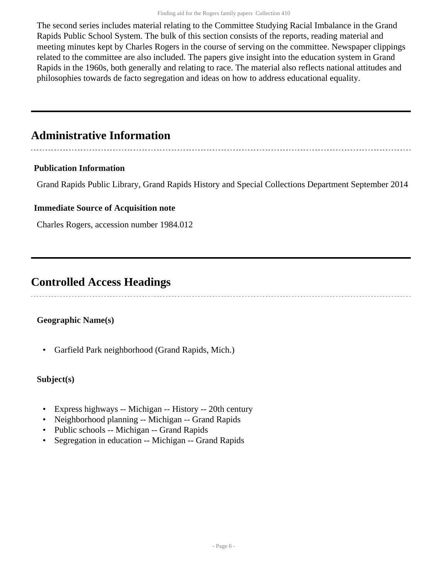The second series includes material relating to the Committee Studying Racial Imbalance in the Grand Rapids Public School System. The bulk of this section consists of the reports, reading material and meeting minutes kept by Charles Rogers in the course of serving on the committee. Newspaper clippings related to the committee are also included. The papers give insight into the education system in Grand Rapids in the 1960s, both generally and relating to race. The material also reflects national attitudes and philosophies towards de facto segregation and ideas on how to address educational equality.

## <span id="page-5-0"></span>**Administrative Information**

#### **Publication Information**

Grand Rapids Public Library, Grand Rapids History and Special Collections Department September 2014

#### **Immediate Source of Acquisition note**

Charles Rogers, accession number 1984.012

### <span id="page-5-1"></span>**Controlled Access Headings**

### **Geographic Name(s)**

• Garfield Park neighborhood (Grand Rapids, Mich.)

#### **Subject(s)**

- Express highways -- Michigan -- History -- 20th century
- Neighborhood planning -- Michigan -- Grand Rapids
- Public schools -- Michigan -- Grand Rapids
- Segregation in education -- Michigan -- Grand Rapids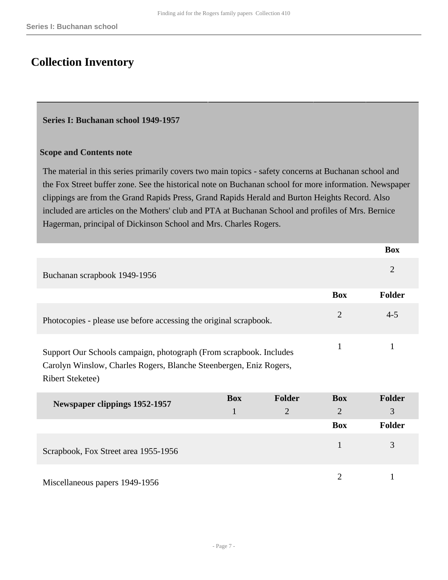### <span id="page-6-0"></span>**Collection Inventory**

#### <span id="page-6-1"></span>**Series I: Buchanan school 1949-1957**

#### **Scope and Contents note**

The material in this series primarily covers two main topics - safety concerns at Buchanan school and the Fox Street buffer zone. See the historical note on Buchanan school for more information. Newspaper clippings are from the Grand Rapids Press, Grand Rapids Herald and Burton Heights Record. Also included are articles on the Mothers' club and PTA at Buchanan School and profiles of Mrs. Bernice Hagerman, principal of Dickinson School and Mrs. Charles Rogers.

|                                                                                                                                                                                     |            |                |                | <b>Box</b>     |
|-------------------------------------------------------------------------------------------------------------------------------------------------------------------------------------|------------|----------------|----------------|----------------|
| Buchanan scrapbook 1949-1956                                                                                                                                                        |            |                |                | $\overline{2}$ |
|                                                                                                                                                                                     |            |                | <b>Box</b>     | Folder         |
| Photocopies - please use before accessing the original scrapbook.                                                                                                                   |            |                | $\overline{2}$ | $4 - 5$        |
| $\mathbf{1}$<br>Support Our Schools campaign, photograph (From scrapbook. Includes<br>Carolyn Winslow, Charles Rogers, Blanche Steenbergen, Eniz Rogers,<br><b>Ribert Steketee)</b> |            |                |                | 1              |
| <b>Newspaper clippings 1952-1957</b>                                                                                                                                                | <b>Box</b> | <b>Folder</b>  | <b>Box</b>     | Folder         |
|                                                                                                                                                                                     | 1          | $\overline{2}$ | $\overline{2}$ | 3              |
|                                                                                                                                                                                     |            |                | <b>Box</b>     | <b>Folder</b>  |
| Scrapbook, Fox Street area 1955-1956                                                                                                                                                |            |                | $\mathbf{1}$   | 3              |
|                                                                                                                                                                                     |            |                |                |                |

Miscellaneous papers 1949-1956 2 1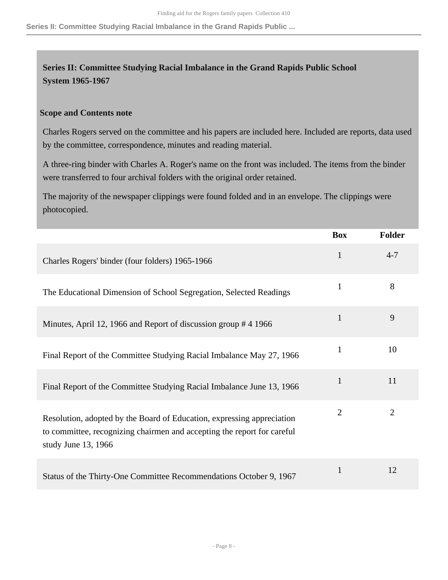**Series II: Committee Studying Racial Imbalance in the Grand Rapids Public ...**

### <span id="page-7-0"></span>**Series II: Committee Studying Racial Imbalance in the Grand Rapids Public School System 1965-1967**

#### **Scope and Contents note**

Charles Rogers served on the committee and his papers are included here. Included are reports, data used by the committee, correspondence, minutes and reading material.

A three-ring binder with Charles A. Roger's name on the front was included. The items from the binder were transferred to four archival folders with the original order retained.

The majority of the newspaper clippings were found folded and in an envelope. The clippings were photocopied.

|                                                                                                                                                                          | <b>Box</b>     | <b>Folder</b>  |
|--------------------------------------------------------------------------------------------------------------------------------------------------------------------------|----------------|----------------|
| Charles Rogers' binder (four folders) 1965-1966                                                                                                                          | $\mathbf{1}$   | $4 - 7$        |
| The Educational Dimension of School Segregation, Selected Readings                                                                                                       | $\mathbf{1}$   | 8              |
| Minutes, April 12, 1966 and Report of discussion group #4 1966                                                                                                           | $\mathbf{1}$   | 9              |
| Final Report of the Committee Studying Racial Imbalance May 27, 1966                                                                                                     | $\mathbf{1}$   | 10             |
| Final Report of the Committee Studying Racial Imbalance June 13, 1966                                                                                                    | $\mathbf{1}$   | 11             |
| Resolution, adopted by the Board of Education, expressing appreciation<br>to committee, recognizing chairmen and accepting the report for careful<br>study June 13, 1966 | $\overline{2}$ | $\overline{2}$ |
| Status of the Thirty-One Committee Recommendations October 9, 1967                                                                                                       | $\mathbf{1}$   | 12             |